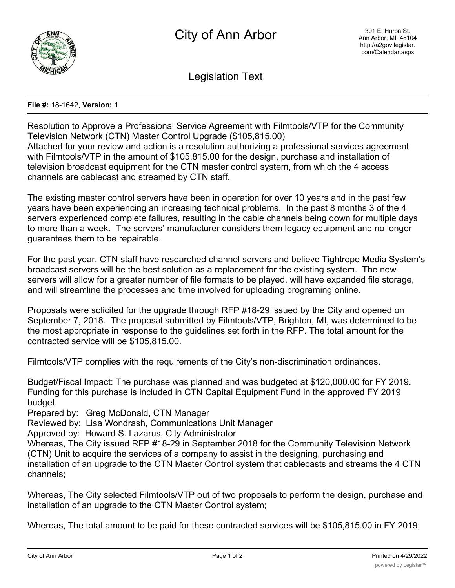

Legislation Text

## **File #:** 18-1642, **Version:** 1

Resolution to Approve a Professional Service Agreement with Filmtools/VTP for the Community Television Network (CTN) Master Control Upgrade (\$105,815.00) Attached for your review and action is a resolution authorizing a professional services agreement with Filmtools/VTP in the amount of \$105,815.00 for the design, purchase and installation of television broadcast equipment for the CTN master control system, from which the 4 access channels are cablecast and streamed by CTN staff.

The existing master control servers have been in operation for over 10 years and in the past few years have been experiencing an increasing technical problems. In the past 8 months 3 of the 4 servers experienced complete failures, resulting in the cable channels being down for multiple days to more than a week. The servers' manufacturer considers them legacy equipment and no longer guarantees them to be repairable.

For the past year, CTN staff have researched channel servers and believe Tightrope Media System's broadcast servers will be the best solution as a replacement for the existing system. The new servers will allow for a greater number of file formats to be played, will have expanded file storage, and will streamline the processes and time involved for uploading programing online.

Proposals were solicited for the upgrade through RFP #18-29 issued by the City and opened on September 7, 2018. The proposal submitted by Filmtools/VTP, Brighton, MI, was determined to be the most appropriate in response to the guidelines set forth in the RFP. The total amount for the contracted service will be \$105,815.00.

Filmtools/VTP complies with the requirements of the City's non-discrimination ordinances.

Budget/Fiscal Impact: The purchase was planned and was budgeted at \$120,000.00 for FY 2019. Funding for this purchase is included in CTN Capital Equipment Fund in the approved FY 2019 budget.

Prepared by: Greg McDonald, CTN Manager

Reviewed by: Lisa Wondrash, Communications Unit Manager

Approved by: Howard S. Lazarus, City Administrator

Whereas, The City issued RFP #18-29 in September 2018 for the Community Television Network (CTN) Unit to acquire the services of a company to assist in the designing, purchasing and installation of an upgrade to the CTN Master Control system that cablecasts and streams the 4 CTN channels;

Whereas, The City selected Filmtools/VTP out of two proposals to perform the design, purchase and installation of an upgrade to the CTN Master Control system;

Whereas, The total amount to be paid for these contracted services will be \$105,815.00 in FY 2019;